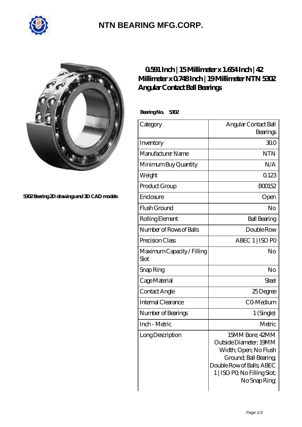

## **[NTN BEARING MFG.CORP.](https://m.2norma.de)**



**[5302 Bearing 2D drawings and 3D CAD models](https://m.2norma.de/pic-249090.html)**

## **[0.591 Inch | 15 Millimeter x 1.654 Inch | 42](https://m.2norma.de/bj-249090-ntn-5302-angular-contact-ball-bearings.html) [Millimeter x 0.748 Inch | 19 Millimeter NTN 5302](https://m.2norma.de/bj-249090-ntn-5302-angular-contact-ball-bearings.html) [Angular Contact Ball Bearings](https://m.2norma.de/bj-249090-ntn-5302-angular-contact-ball-bearings.html)**

 **Bearing No. 5302**

| Category                           | Angular Contact Ball<br>Bearings                                                                                                                                         |
|------------------------------------|--------------------------------------------------------------------------------------------------------------------------------------------------------------------------|
| Inventory                          | 300                                                                                                                                                                      |
| Manufacturer Name                  | <b>NTN</b>                                                                                                                                                               |
| Minimum Buy Quantity               | N/A                                                                                                                                                                      |
| Weight                             | 0123                                                                                                                                                                     |
| Product Group                      | BO0152                                                                                                                                                                   |
| Enclosure                          | Open                                                                                                                                                                     |
| Flush Ground                       | No                                                                                                                                                                       |
| Rolling Element                    | <b>Ball Bearing</b>                                                                                                                                                      |
| Number of Rows of Balls            | Double Row                                                                                                                                                               |
| Precision Class                    | ABEC 1   ISO PO                                                                                                                                                          |
| Maximum Capacity / Filling<br>Slot | No                                                                                                                                                                       |
| Snap Ring                          | No                                                                                                                                                                       |
| Cage Material                      | Steel                                                                                                                                                                    |
| Contact Angle                      | 25Degree                                                                                                                                                                 |
| Internal Clearance                 | CO-Medium                                                                                                                                                                |
| Number of Bearings                 | 1 (Single)                                                                                                                                                               |
| Inch - Metric                      | Metric                                                                                                                                                                   |
| Long Description                   | 15MM Bore; 42MM<br>Outside Diameter; 19MM<br>Width; Open; No Flush<br>Ground; Ball Bearing;<br>Double Row of Balls; ABEC<br>1   ISO PO, No Filling Slot;<br>No Snap Ring |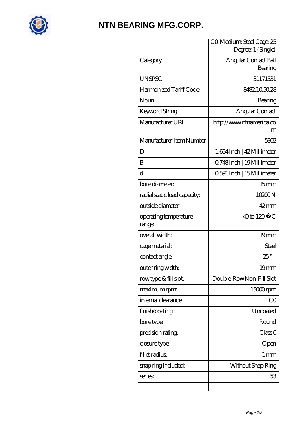

## **[NTN BEARING MFG.CORP.](https://m.2norma.de)**

|                                 | CO Medium; Steel Cage; 25<br>Degree; 1 (Single) |
|---------------------------------|-------------------------------------------------|
| Category                        | Angular Contact Ball<br>Bearing                 |
| <b>UNSPSC</b>                   | 31171531                                        |
| Harmonized Tariff Code          | 8482105028                                      |
| Noun                            | Bearing                                         |
| Keyword String                  | Angular Contact                                 |
| Manufacturer URL                | http://www.ntnamerica.co<br>m                   |
| Manufacturer Item Number        | 5302                                            |
| D                               | 1.654 Inch   42 Millimeter                      |
| B                               | 0.748Inch   19 Millimeter                       |
| $\rm d$                         | 0.591 Inch   15 Millimeter                      |
| bore diameter:                  | 15 <sub>mm</sub>                                |
| radial static load capacity:    | 10200N                                          |
| outside diameter:               | $42 \text{mm}$                                  |
| operating temperature<br>range: | $-40$ to $120^{\circ}$ C                        |
| overall width:                  | 19mm                                            |
| cage material:                  | Steel                                           |
| contact angle:                  | $25^\circ$                                      |
| outer ring width:               | 19 <sub>mm</sub>                                |
| rowtype & fill slot:            | Double-RowNon-Fill Slot                         |
| maximum rpm:                    | 15000rpm                                        |
| internal clearance:             | CO                                              |
| finish/coating                  | Uncoated                                        |
| bore type:                      | Round                                           |
| precision rating                | Class 0                                         |
| closure type:                   | Open                                            |
| fillet radius                   | $1 \,\mathrm{mm}$                               |
| snap ring included:             | Without Snap Ring                               |
| series:                         | 53                                              |
|                                 |                                                 |